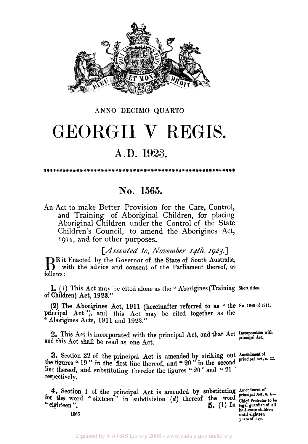

### **ANNO** DECIMO **QUARTO**

# GEORGII V REGIS.

## **A.D. 1923.**

\*\*\*\*\*\*\*\*\*\*\*\*\*\*\*\*\*\*\*\*

## **No. 1565.**

An Act to make Better Provision for the Care, Control, and Training of Aboriginal Children, for placing Aboriginal Children under the Control of the State Children's Council, to amend the Aborigines Act, **191 I,** and for other purposes,

*[Assented to, November 14th, 1923.]* 

BE it Enacted by the Governor of the State of South Australia, with the advice and consent of the Parliament thereof, as follows :

**1. (1)** This Act **may** be cited alone as the **"** Aborigines (Training **Short titles. of** Children) Act, **1923."** 

**(2)** The Aborigines Act, **1911** (hereinafter referred to as " the **No. 1048 of 1911.**  principal Act"), and this Act may be cited together as the "Aborigines Acts, **191 1** and **1923."** 

**Incorporation** with 2. This Act is incorporated with the principal Act: and **that** Act **principal Act.** and this Act shall be read as one Act.

**Amendment of 3.** Section **22** of the principal Act is amended by striking out **principal Act,** *s.* **22.** the figures " **19** " in the first line thereof, and **20** " in the second line thereof, and substituting therefor the figures " **20** " and " **21** " respectively.

**4.** Section 4 of the principal Act is amended by substituting Amendment of the word  $f(x)$  is a substitution  $f(x)$  the proof the word principal Act,  $f(x)$ **for the word "** sixteen" in subdivision *(d)* thereof the word chief Protector to be **101** the word "sixteen" in subdivision (d) thereof the word Chief Protector to be "eighteen".

**half of all particular of all half-caste children**<br>half-caste children until eighteen **years of age. 1565 until eighteen**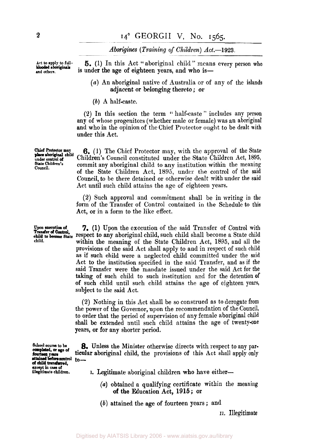*Aborigines (Training of Children) Act.-1923.* 

**Act** to **apply to fulland others.** 

**5.** (1) In this Act " aboriginal child " means every person who is under the age of eighteen years, and who is-

- *(a)* An aboriginal native of Australia or of any of the islands adjacent or belonging thereto ; *or*
- *(b)* A half-caste.

**(2)** In this section the term '' half-caste " includes any **person**  any of whose progenitors (whether male or female) was an aboriginal and who in the opinion of the Chief Protector ought to be dealt with under this Act.

**6.** (1) The Chief Protector may, with the approval of the State Children's Council constituted under the State Children Act, 1895, commit any aboriginal child to any institution within the meaning of the State Children Act, **1895,** under the control of the **said Council,** to be there detained or otherwise dealt with under the said Act until such child attains the age **of** eighteen years.

**(2)** Such approval and commitment shall be in writing in the form **of** the Transfer of Control contained in the Schedule to this Act, **or** in a form to the like effect.

**7.** (1) Upon the execution of the said Transfer of Control with respect to any aboriginal child, such child shall become a State child within the meaning of the State Children Act, 1895, and all the provisions of the said Act shall apply to and in respect of such child as if such child were a neglected child committed under the said Act to the institution specified in the said Transfer, and as if the said Transfer were the mandate issued under the said Act for the taking of such child to such institution and for the detention **of of** such child until such child attains the age of eighteen years, subject to the said Act.

**(2)** Nothing in this Act shall be so construed as to derogate from the power of the Governor, upon the recommendation of the Council, to order that the period of supervision of any female aboriginal child shall be extended until such child attains the age of twenty-one years, or for any shorter period.

**8.** Unless the Minister otherwise directs with respect to any **par**ticular aboriginal child, the provisions of this Act shall apply only to—

**I.** Legitimate aboriginal children who have either-

- *(a)* obtained a qualifying certificate within the meaning **of** the Education Act, 1915; or
- *(b)* attained the age **of** fourteen years ; and

**II.** Illegitimate

**Chief Protector may under control Council. State Children's place aboriginal child** 

Upon **execution of**<br>Transfer of Control, **child.** 

**School course to be**  fourteen **years attained before control** to-**of child transferred, except in case of illegitimate children.**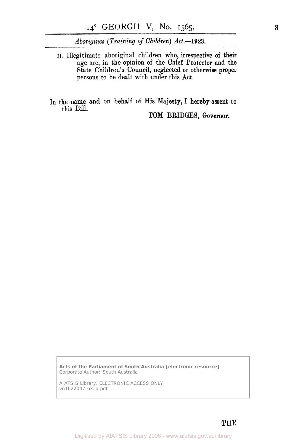*Aborigines (Training of Children) Act.-1923.* 

**II.** Illegitimate aboriginal children who, irrespective **of** their age are, in the opinion of the Chief Protector and the State Children's Council, neglected or otherwise proper persons to be dealt with under this Act.

In the name and on behalf **of** His Majesty, I hereby assent to this Bill.

**TOM** BRIDGES, Governor.

**Acts of the Parliament of South Australia [electronic resource]**  Corporate Author: South Australia

AIATSIS Library, ELECTRONIC ACCESS ONLY vn1622047-6x\_a.pdf

THE